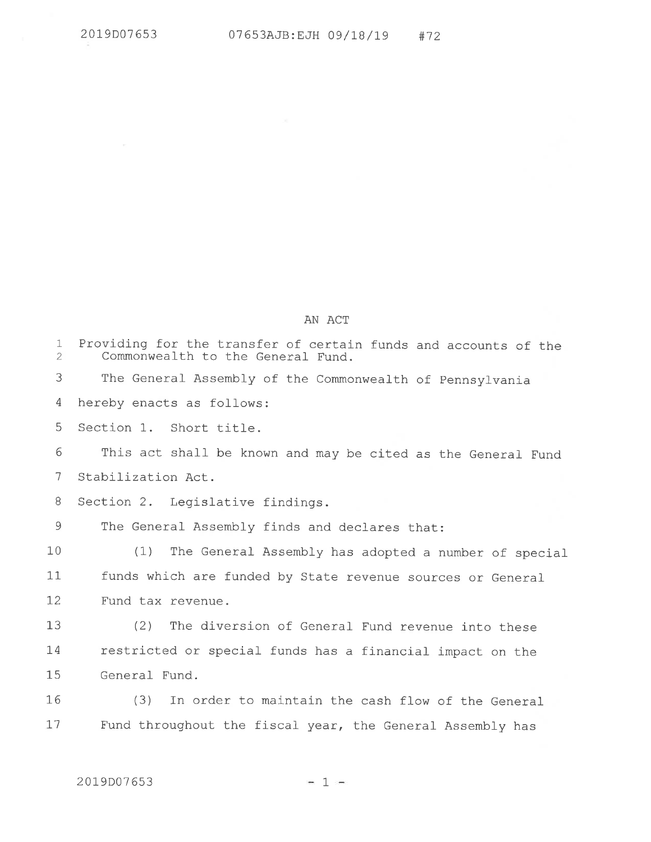|                             | AN ACT                                                                                               |
|-----------------------------|------------------------------------------------------------------------------------------------------|
| $\mathbf 1$<br>$\mathbf{2}$ | Providing for the transfer of certain funds and accounts of the<br>Commonwealth to the General Fund. |
| 3                           | The General Assembly of the Commonwealth of Pennsylvania                                             |
| 4                           | hereby enacts as follows:                                                                            |
| 5                           | Section 1. Short title.                                                                              |
| 6                           | This act shall be known and may be cited as the General Fund                                         |
| 7                           | Stabilization Act.                                                                                   |
| 8                           | Section 2. Legislative findings.                                                                     |
| 9                           | The General Assembly finds and declares that:                                                        |
| 10                          | (1)<br>The General Assembly has adopted a number of special                                          |
| 11                          | funds which are funded by State revenue sources or General                                           |
| 12                          | Fund tax revenue.                                                                                    |
| 13                          | (2)<br>The diversion of General Fund revenue into these                                              |
| 14                          | restricted or special funds has a financial impact on the                                            |
| 15                          | General Fund.                                                                                        |
| 16                          | (3)<br>In order to maintain the cash flow of the General                                             |
| 17                          | Fund throughout the fiscal year, the General Assembly has                                            |
|                             |                                                                                                      |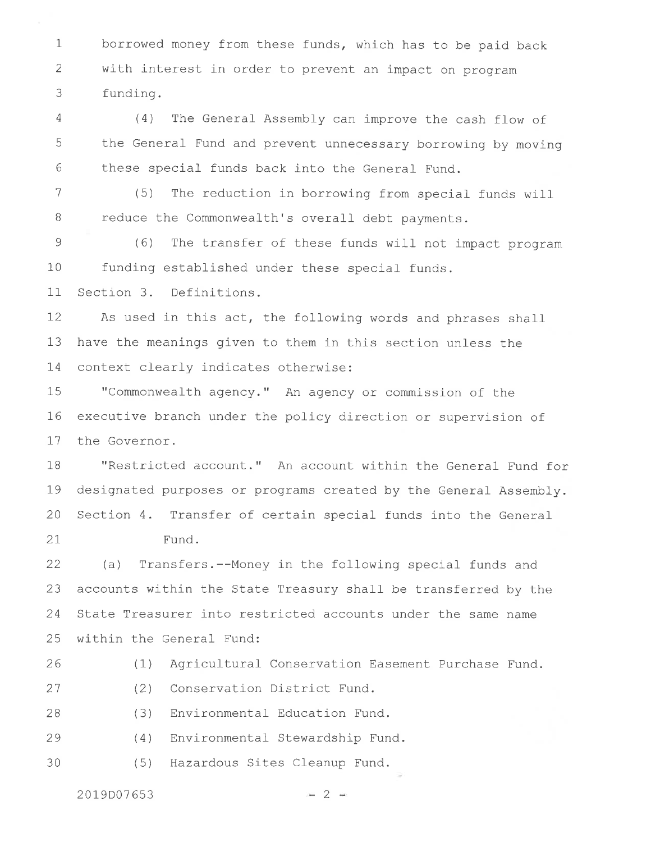1 2 3 borrowed money from these funds, which has to be paid back with interest in order to prevent an impact on program funding.

4 5 6  $(4)$  The General Assembly can improve the cash flow of the General Fund and prevent unnecessary borrowing by moving these special funds back into the General\_ Fund.

1

B (5) The reduction in borrowing from special funds wil\_l reduce the Commonwealth's overall debt payments.

9 10 11 (6) The Lransfer of these funds will\_ not impact program funding established under these special funds. Section 3. Definitions.

I2 13 I4 As used in this act, the following words and phrases shall have the meanings given to them in this section unless the context clearly indicates otherwise:

15 I6 I1 "Commonwealth agency." An agency or commission of the executive branch under the policy direction or supervision of the Governor.

1B 79 20 27 "Restricted account. " An account within the General- Fund for designated purposes or programs created by the General Assembly. Section 4. Transfer of certain special funds into the General Fund.

22 23 24 25 (a) Transfers.--Money in the following special funds and accounts within the State Treasury shall be transferred by the State Treasurer into restricted accounts under the same name within the General Fund:

zo (1) Agricultural Conservation Easement Purchase Fund.

(2) Conservation District Fund. 27

2B (3) Environmental Education Fund.

29 (4) Environmental Stewardship Fund.

30 (5) Hazardous Sites Cleanup Fund.

 $2019D07653$  - 2 -